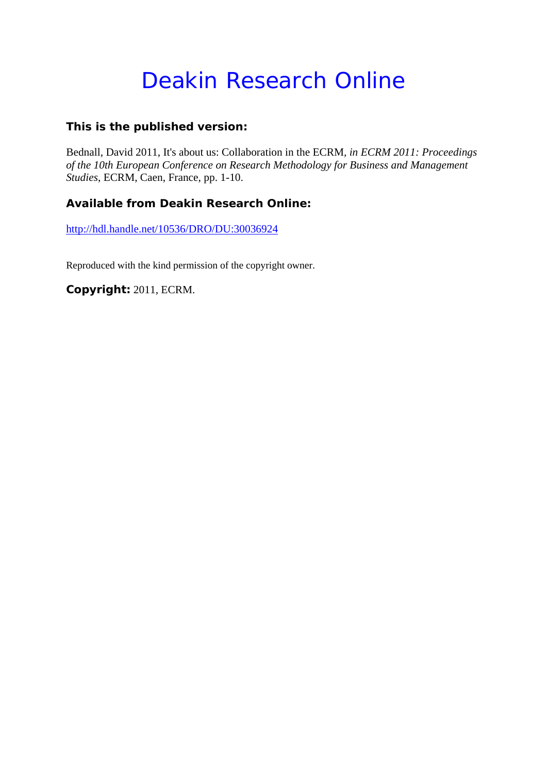# Deakin Research Online

#### **This is the published version:**

Bednall, David 2011, It's about us: Collaboration in the ECRM*, in ECRM 2011: Proceedings of the 10th European Conference on Research Methodology for Business and Management Studies*, ECRM, Caen, France, pp. 1-10.

## **Available from Deakin Research Online:**

http://hdl.handle.net/10536/DRO/DU:30036924

Reproduced with the kind permission of the copyright owner.

**Copyright:** 2011, ECRM.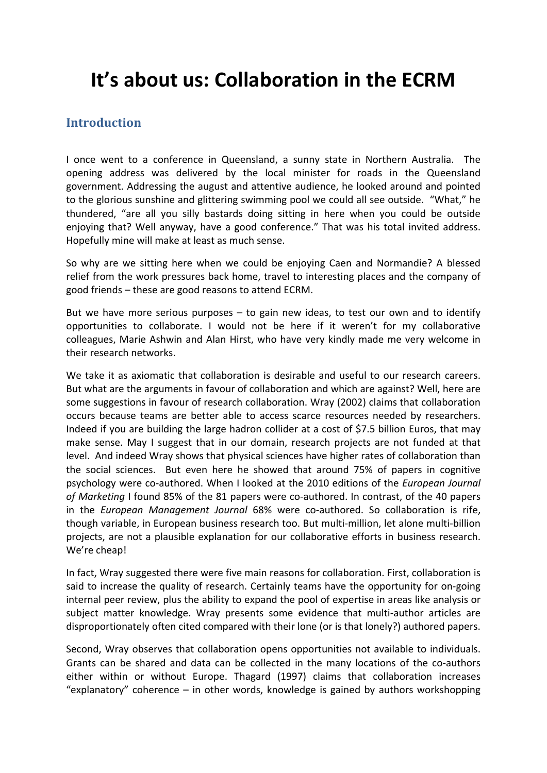## **It's about us: Collaboration in the ECRM**

## **Introduction**

I once went to a conference in Queensland, a sunny state in Northern Australia. The opening address was delivered by the local minister for roads in the Queensland government. Addressing the august and attentive audience, he looked around and pointed to the glorious sunshine and glittering swimming pool we could all see outside. "What," he thundered, "are all you silly bastards doing sitting in here when you could be outside enjoying that? Well anyway, have a good conference." That was his total invited address. Hopefully mine will make at least as much sense.

So why are we sitting here when we could be enjoying Caen and Normandie? A blessed relief from the work pressures back home, travel to interesting places and the company of good friends – these are good reasons to attend ECRM.

But we have more serious purposes  $-$  to gain new ideas, to test our own and to identify opportunities to collaborate. I would not be here if it weren't for my collaborative colleagues, Marie Ashwin and Alan Hirst, who have very kindly made me very welcome in their research networks.

We take it as axiomatic that collaboration is desirable and useful to our research careers. But what are the arguments in favour of collaboration and which are against? Well, here are some suggestions in favour of research collaboration. Wray (2002) claims that collaboration occurs because teams are better able to access scarce resources needed by researchers. Indeed if you are building the large hadron collider at a cost of \$7.5 billion Euros, that may make sense. May I suggest that in our domain, research projects are not funded at that level. And indeed Wray shows that physical sciences have higher rates of collaboration than the social sciences. But even here he showed that around 75% of papers in cognitive psychology were co‐authored. When I looked at the 2010 editions of the *European Journal* of *Marketing* I found 85% of the 81 papers were co-authored. In contrast, of the 40 papers in the *European Management Journal* 68% were co‐authored. So collaboration is rife, though variable, in European business research too. But multi‐million, let alone multi‐billion projects, are not a plausible explanation for our collaborative efforts in business research. We're cheap!

In fact, Wray suggested there were five main reasons for collaboration. First, collaboration is said to increase the quality of research. Certainly teams have the opportunity for on-going internal peer review, plus the ability to expand the pool of expertise in areas like analysis or subject matter knowledge. Wray presents some evidence that multi‐author articles are disproportionately often cited compared with their lone (or is that lonely?) authored papers.

Second, Wray observes that collaboration opens opportunities not available to individuals. Grants can be shared and data can be collected in the many locations of the co-authors either within or without Europe. Thagard (1997) claims that collaboration increases "explanatory" coherence – in other words, knowledge is gained by authors workshopping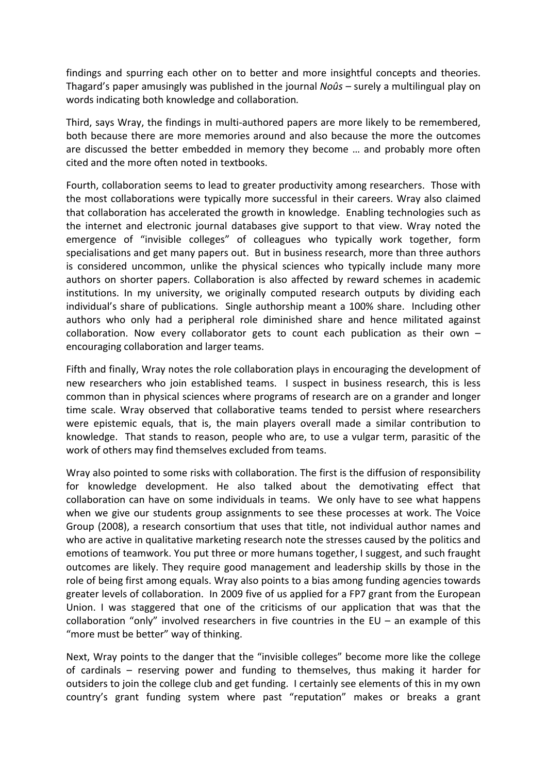findings and spurring each other on to better and more insightful concepts and theories. Thagard's paper amusingly was published in the journal *Noûs –* surely a multilingual play on words indicating both knowledge and collaboration*.*

Third, says Wray, the findings in multi‐authored papers are more likely to be remembered, both because there are more memories around and also because the more the outcomes are discussed the better embedded in memory they become … and probably more often cited and the more often noted in textbooks.

Fourth, collaboration seems to lead to greater productivity among researchers. Those with the most collaborations were typically more successful in their careers. Wray also claimed that collaboration has accelerated the growth in knowledge. Enabling technologies such as the internet and electronic journal databases give support to that view. Wray noted the emergence of "invisible colleges" of colleagues who typically work together, form specialisations and get many papers out. But in business research, more than three authors is considered uncommon, unlike the physical sciences who typically include many more authors on shorter papers. Collaboration is also affected by reward schemes in academic institutions. In my university, we originally computed research outputs by dividing each individual's share of publications. Single authorship meant a 100% share. Including other authors who only had a peripheral role diminished share and hence militated against collaboration. Now every collaborator gets to count each publication as their own – encouraging collaboration and larger teams.

Fifth and finally, Wray notes the role collaboration plays in encouraging the development of new researchers who join established teams. I suspect in business research, this is less common than in physical sciences where programs of research are on a grander and longer time scale. Wray observed that collaborative teams tended to persist where researchers were epistemic equals, that is, the main players overall made a similar contribution to knowledge. That stands to reason, people who are, to use a vulgar term, parasitic of the work of others may find themselves excluded from teams.

Wray also pointed to some risks with collaboration. The first is the diffusion of responsibility for knowledge development. He also talked about the demotivating effect that collaboration can have on some individuals in teams. We only have to see what happens when we give our students group assignments to see these processes at work. The Voice Group (2008), a research consortium that uses that title, not individual author names and who are active in qualitative marketing research note the stresses caused by the politics and emotions of teamwork. You put three or more humans together, I suggest, and such fraught outcomes are likely. They require good management and leadership skills by those in the role of being first among equals. Wray also points to a bias among funding agencies towards greater levels of collaboration. In 2009 five of us applied for a FP7 grant from the European Union. I was staggered that one of the criticisms of our application that was that the collaboration "only" involved researchers in five countries in the EU – an example of this "more must be better" way of thinking.

Next, Wray points to the danger that the "invisible colleges" become more like the college of cardinals – reserving power and funding to themselves, thus making it harder for outsiders to join the college club and get funding. I certainly see elements of this in my own country's grant funding system where past "reputation" makes or breaks a grant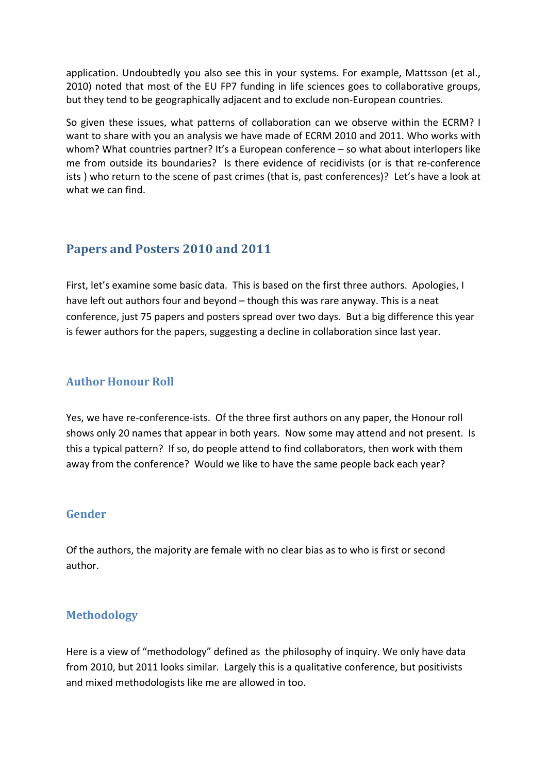application. Undoubtedly you also see this in your systems. For example, Mattsson (et al., 2010) noted that most of the EU FP7 funding in life sciences goes to collaborative groups, but they tend to be geographically adjacent and to exclude non‐European countries.

So given these issues, what patterns of collaboration can we observe within the ECRM? I want to share with you an analysis we have made of ECRM 2010 and 2011. Who works with whom? What countries partner? It's a European conference – so what about interlopers like me from outside its boundaries? Is there evidence of recidivists (or is that re-conference ists ) who return to the scene of past crimes (that is, past conferences)? Let's have a look at what we can find.

## **Papers and Posters 2010 and 2011**

First, let's examine some basic data. This is based on the first three authors. Apologies, I have left out authors four and beyond – though this was rare anyway. This is a neat conference, just 75 papers and posters spread over two days. But a big difference this year is fewer authors for the papers, suggesting a decline in collaboration since last year.

#### **Author Honour Roll**

Yes, we have re‐conference‐ists. Of the three first authors on any paper, the Honour roll shows only 20 names that appear in both years. Now some may attend and not present. Is this a typical pattern? If so, do people attend to find collaborators, then work with them away from the conference? Would we like to have the same people back each year?

#### **Gender**

Of the authors, the majority are female with no clear bias as to who is first or second author.

## **Methodology**

Here is a view of "methodology" defined as the philosophy of inquiry. We only have data from 2010, but 2011 looks similar. Largely this is a qualitative conference, but positivists and mixed methodologists like me are allowed in too.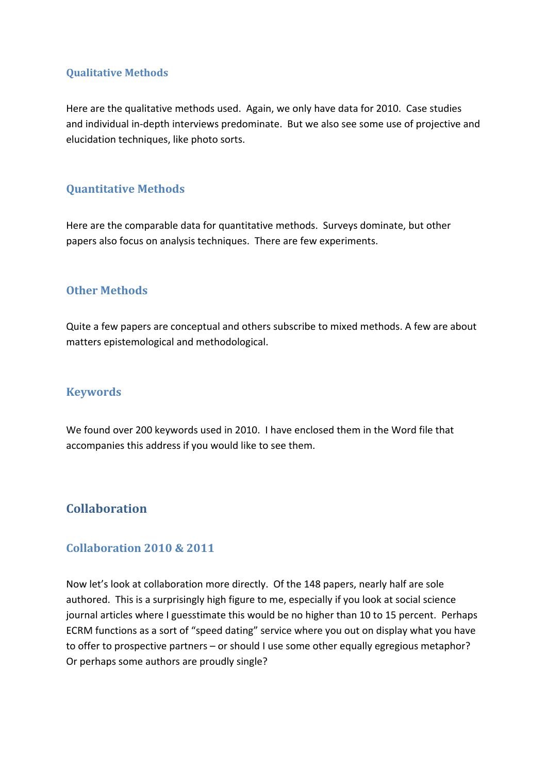#### **Qualitative Methods**

Here are the qualitative methods used. Again, we only have data for 2010. Case studies and individual in‐depth interviews predominate. But we also see some use of projective and elucidation techniques, like photo sorts.

#### **Quantitative Methods**

Here are the comparable data for quantitative methods. Surveys dominate, but other papers also focus on analysis techniques. There are few experiments.

#### **Other Methods**

Quite a few papers are conceptual and others subscribe to mixed methods. A few are about matters epistemological and methodological.

#### **Keywords**

We found over 200 keywords used in 2010. I have enclosed them in the Word file that accompanies this address if you would like to see them.

## **Collaboration**

#### **Collaboration 2010 & 2011**

Now let's look at collaboration more directly. Of the 148 papers, nearly half are sole authored. This is a surprisingly high figure to me, especially if you look at social science journal articles where I guesstimate this would be no higher than 10 to 15 percent. Perhaps ECRM functions as a sort of "speed dating" service where you out on display what you have to offer to prospective partners – or should I use some other equally egregious metaphor? Or perhaps some authors are proudly single?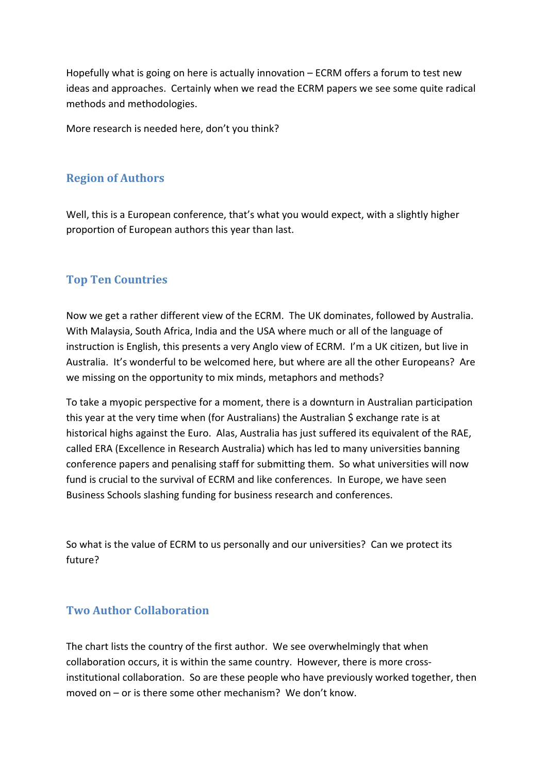Hopefully what is going on here is actually innovation – ECRM offers a forum to test new ideas and approaches. Certainly when we read the ECRM papers we see some quite radical methods and methodologies.

More research is needed here, don't you think?

#### **Region of Authors**

Well, this is a European conference, that's what you would expect, with a slightly higher proportion of European authors this year than last.

#### **Top Ten Countries**

Now we get a rather different view of the ECRM. The UK dominates, followed by Australia. With Malaysia, South Africa, India and the USA where much or all of the language of instruction is English, this presents a very Anglo view of ECRM. I'm a UK citizen, but live in Australia. It's wonderful to be welcomed here, but where are all the other Europeans? Are we missing on the opportunity to mix minds, metaphors and methods?

To take a myopic perspective for a moment, there is a downturn in Australian participation this year at the very time when (for Australians) the Australian \$ exchange rate is at historical highs against the Euro. Alas, Australia has just suffered its equivalent of the RAE, called ERA (Excellence in Research Australia) which has led to many universities banning conference papers and penalising staff for submitting them. So what universities will now fund is crucial to the survival of ECRM and like conferences. In Europe, we have seen Business Schools slashing funding for business research and conferences.

So what is the value of ECRM to us personally and our universities? Can we protect its future?

#### **Two Author Collaboration**

The chart lists the country of the first author. We see overwhelmingly that when collaboration occurs, it is within the same country. However, there is more cross‐ institutional collaboration. So are these people who have previously worked together, then moved on – or is there some other mechanism? We don't know.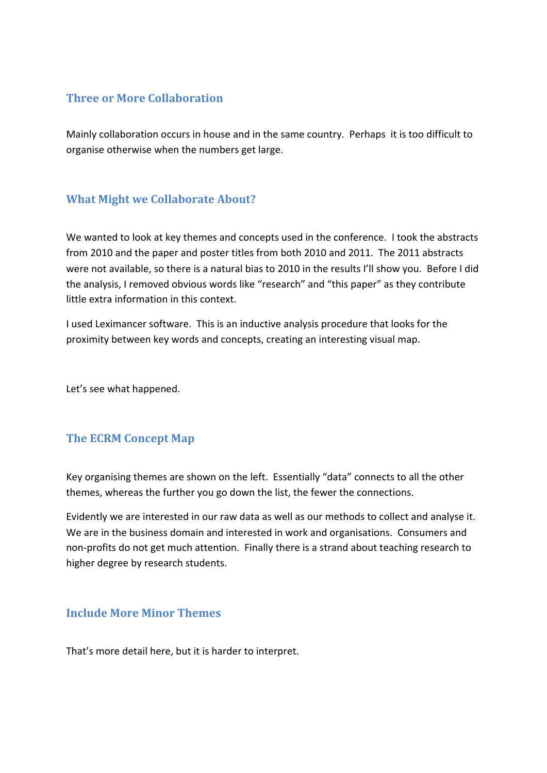#### **Three or More Collaboration**

Mainly collaboration occurs in house and in the same country. Perhaps it is too difficult to organise otherwise when the numbers get large.

## **What Might we Collaborate About?**

We wanted to look at key themes and concepts used in the conference. I took the abstracts from 2010 and the paper and poster titles from both 2010 and 2011. The 2011 abstracts were not available, so there is a natural bias to 2010 in the results I'll show you. Before I did the analysis, I removed obvious words like "research" and "this paper" as they contribute little extra information in this context.

I used Leximancer software. This is an inductive analysis procedure that looks for the proximity between key words and concepts, creating an interesting visual map.

Let's see what happened.

## **The ECRM Concept Map**

Key organising themes are shown on the left. Essentially "data" connects to all the other themes, whereas the further you go down the list, the fewer the connections.

Evidently we are interested in our raw data as well as our methods to collect and analyse it. We are in the business domain and interested in work and organisations. Consumers and non‐profits do not get much attention. Finally there is a strand about teaching research to higher degree by research students.

#### **Include More Minor Themes**

That's more detail here, but it is harder to interpret.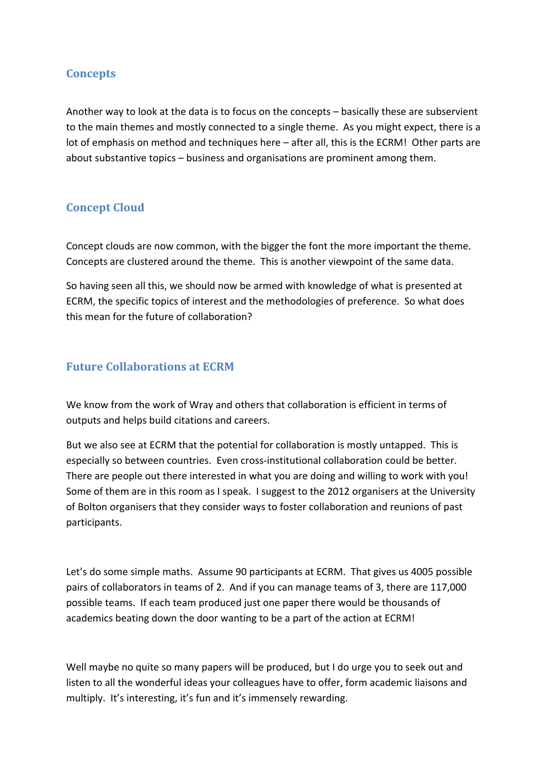## **Concepts**

Another way to look at the data is to focus on the concepts – basically these are subservient to the main themes and mostly connected to a single theme. As you might expect, there is a lot of emphasis on method and techniques here – after all, this is the ECRM! Other parts are about substantive topics – business and organisations are prominent among them.

## **Concept Cloud**

Concept clouds are now common, with the bigger the font the more important the theme. Concepts are clustered around the theme. This is another viewpoint of the same data.

So having seen all this, we should now be armed with knowledge of what is presented at ECRM, the specific topics of interest and the methodologies of preference. So what does this mean for the future of collaboration?

## **Future Collaborations at ECRM**

We know from the work of Wray and others that collaboration is efficient in terms of outputs and helps build citations and careers.

But we also see at ECRM that the potential for collaboration is mostly untapped. This is especially so between countries. Even cross‐institutional collaboration could be better. There are people out there interested in what you are doing and willing to work with you! Some of them are in this room as I speak. I suggest to the 2012 organisers at the University of Bolton organisers that they consider ways to foster collaboration and reunions of past participants.

Let's do some simple maths. Assume 90 participants at ECRM. That gives us 4005 possible pairs of collaborators in teams of 2. And if you can manage teams of 3, there are 117,000 possible teams. If each team produced just one paper there would be thousands of academics beating down the door wanting to be a part of the action at ECRM!

Well maybe no quite so many papers will be produced, but I do urge you to seek out and listen to all the wonderful ideas your colleagues have to offer, form academic liaisons and multiply. It's interesting, it's fun and it's immensely rewarding.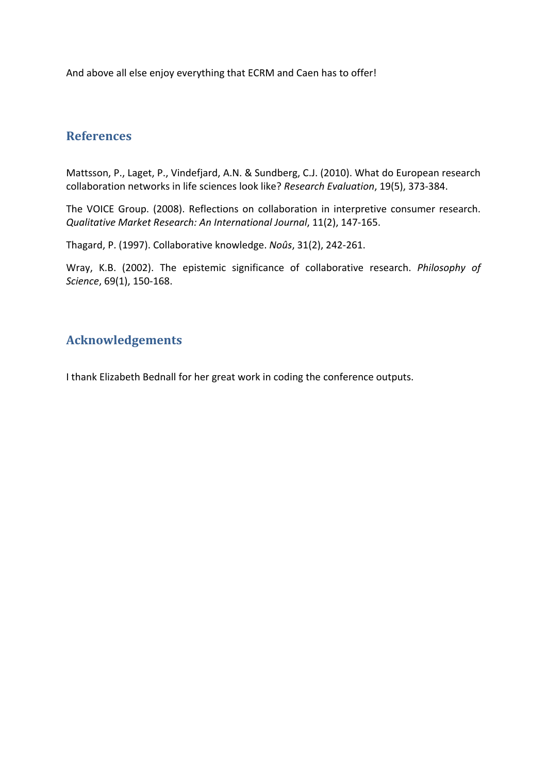And above all else enjoy everything that ECRM and Caen has to offer!

## **References**

Mattsson, P., Laget, P., Vindefjard, A.N. & Sundberg, C.J. (2010). What do European research collaboration networks in life sciences look like? *Research Evaluation*, 19(5), 373‐384.

The VOICE Group. (2008). Reflections on collaboration in interpretive consumer research. *Qualitative Market Research: An International Journal*, 11(2), 147‐165.

Thagard, P. (1997). Collaborative knowledge. *Noûs*, 31(2), 242‐261.

Wray, K.B. (2002). The epistemic significance of collaborative research. *Philosophy of Science*, 69(1), 150‐168.

## **Acknowledgements**

I thank Elizabeth Bednall for her great work in coding the conference outputs.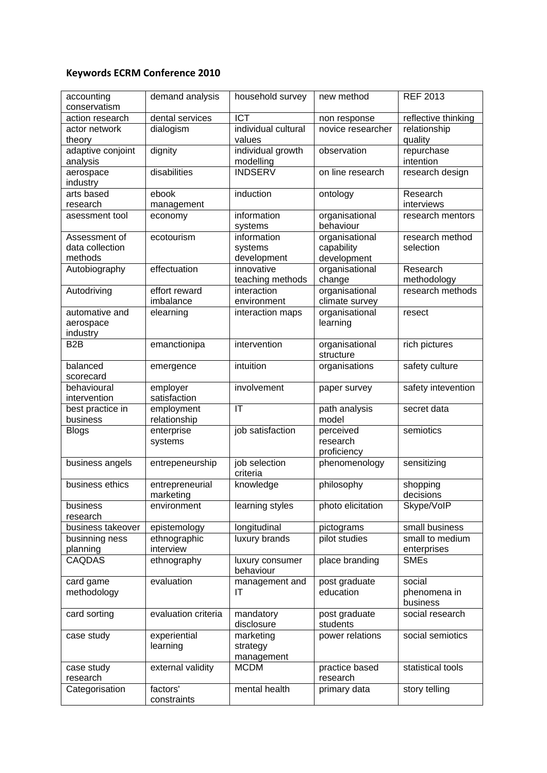## **Keywords ECRM Conference 2010**

| accounting<br>conservatism | demand analysis     | household survey       | new method        | <b>REF 2013</b>     |
|----------------------------|---------------------|------------------------|-------------------|---------------------|
| action research            | dental services     | <b>ICT</b>             | non response      | reflective thinking |
| actor network              | dialogism           | individual cultural    | novice researcher | relationship        |
| theory                     |                     | values                 |                   | quality             |
| adaptive conjoint          | dignity             | individual growth      | observation       | repurchase          |
| analysis                   |                     | modelling              |                   | intention           |
| aerospace                  | disabilities        | <b>INDSERV</b>         | on line research  | research design     |
| industry                   |                     |                        |                   |                     |
| arts based                 | ebook               | induction              | ontology          | Research            |
| research                   | management          |                        |                   | interviews          |
| asessment tool             | economy             | information            | organisational    | research mentors    |
|                            |                     | systems                | behaviour         |                     |
| Assessment of              | ecotourism          | information            | organisational    | research method     |
| data collection            |                     | systems                | capability        | selection           |
| methods                    |                     | development            | development       |                     |
| Autobiography              | effectuation        | innovative             | organisational    | Research            |
|                            |                     | teaching methods       | change            | methodology         |
| Autodriving                | effort reward       | interaction            | organisational    | research methods    |
|                            | imbalance           | environment            | climate survey    |                     |
| automative and             | elearning           | interaction maps       | organisational    | resect              |
| aerospace                  |                     |                        | learning          |                     |
| industry                   |                     |                        |                   |                     |
| B2B                        | emanctionipa        | intervention           | organisational    | rich pictures       |
|                            |                     |                        | structure         |                     |
| balanced                   | emergence           | intuition              | organisations     | safety culture      |
| scorecard                  |                     |                        |                   |                     |
| behavioural                | employer            | involvement            | paper survey      | safety intevention  |
| intervention               | satisfaction        |                        |                   |                     |
| best practice in           | employment          | $\mathsf{I}\mathsf{T}$ | path analysis     | secret data         |
| business                   | relationship        |                        | model             |                     |
| <b>Blogs</b>               | enterprise          | job satisfaction       | perceived         | semiotics           |
|                            | systems             |                        | research          |                     |
|                            |                     |                        | proficiency       |                     |
| business angels            | entrepeneurship     | job selection          | phenomenology     | sensitizing         |
|                            |                     | criteria               |                   |                     |
| business ethics            | entrepreneurial     | knowledge              | philosophy        | shopping            |
|                            | marketing           |                        |                   | decisions           |
| business                   | environment         | learning styles        | photo elicitation | Skype/VolP          |
| research                   |                     |                        |                   |                     |
| business takeover          | epistemology        | longitudinal           | pictograms        | small business      |
| businning ness             | ethnographic        | luxury brands          | pilot studies     | small to medium     |
| planning                   | interview           |                        |                   | enterprises         |
| <b>CAQDAS</b>              | ethnography         | luxury consumer        | place branding    | <b>SMEs</b>         |
|                            |                     | behaviour              |                   |                     |
| card game                  | evaluation          | management and         | post graduate     | social              |
| methodology                |                     | IT                     | education         | phenomena in        |
|                            |                     |                        |                   | business            |
| card sorting               | evaluation criteria | mandatory              | post graduate     | social research     |
|                            |                     | disclosure             | students          |                     |
| case study                 | experiential        | marketing              | power relations   | social semiotics    |
|                            | learning            | strategy               |                   |                     |
|                            |                     | management             |                   |                     |
| case study                 | external validity   | <b>MCDM</b>            | practice based    | statistical tools   |
| research                   |                     |                        | research          |                     |
| Categorisation             | factors'            | mental health          | primary data      | story telling       |
|                            | constraints         |                        |                   |                     |